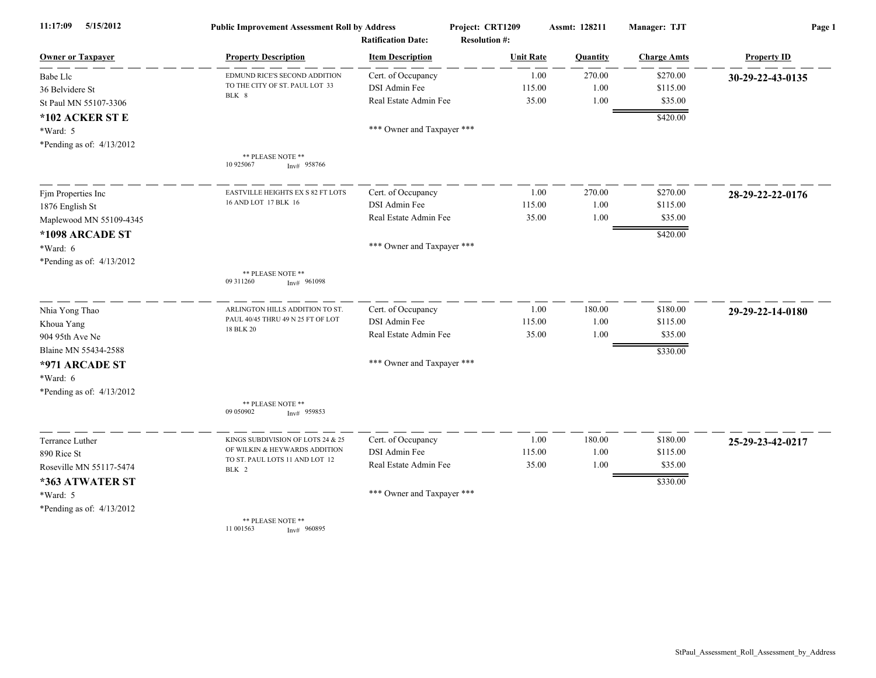| 11:17:09<br>5/15/2012       | <b>Public Improvement Assessment Roll by Address</b><br><b>Ratification Date:</b> |                            | Project: CRT1209     | Assmt: 128211 | Manager: TJT       | Page 1             |
|-----------------------------|-----------------------------------------------------------------------------------|----------------------------|----------------------|---------------|--------------------|--------------------|
|                             |                                                                                   |                            | <b>Resolution #:</b> |               |                    |                    |
| <b>Owner or Taxpayer</b>    | <b>Property Description</b>                                                       | <b>Item Description</b>    | <b>Unit Rate</b>     | Quantity      | <b>Charge Amts</b> | <b>Property ID</b> |
| Babe Llc                    | EDMUND RICE'S SECOND ADDITION                                                     | Cert. of Occupancy         | 1.00                 | 270.00        | \$270.00           | 30-29-22-43-0135   |
| 36 Belvidere St             | TO THE CITY OF ST. PAUL LOT 33<br>BLK 8                                           | DSI Admin Fee              | 115.00               | 1.00          | \$115.00           |                    |
| St Paul MN 55107-3306       |                                                                                   | Real Estate Admin Fee      | 35.00                | 1.00          | \$35.00            |                    |
| *102 ACKER ST E             |                                                                                   |                            |                      |               | \$420.00           |                    |
| *Ward: 5                    |                                                                                   | *** Owner and Taxpayer *** |                      |               |                    |                    |
| *Pending as of: $4/13/2012$ |                                                                                   |                            |                      |               |                    |                    |
|                             | ** PLEASE NOTE **<br>10 925067<br>Inv# 958766                                     |                            |                      |               |                    |                    |
| Fjm Properties Inc          | EASTVILLE HEIGHTS EX S 82 FT LOTS                                                 | Cert. of Occupancy         | 1.00                 | 270.00        | \$270.00           | 28-29-22-22-0176   |
| 1876 English St             | 16 AND LOT 17 BLK 16                                                              | DSI Admin Fee              | 115.00               | 1.00          | \$115.00           |                    |
| Maplewood MN 55109-4345     |                                                                                   | Real Estate Admin Fee      | 35.00                | 1.00          | \$35.00            |                    |
| *1098 ARCADE ST             |                                                                                   |                            |                      |               | \$420.00           |                    |
| *Ward: 6                    |                                                                                   | *** Owner and Taxpayer *** |                      |               |                    |                    |
| *Pending as of: 4/13/2012   |                                                                                   |                            |                      |               |                    |                    |
|                             | ** PLEASE NOTE **<br>09 311260<br>Inv# 961098                                     |                            |                      |               |                    |                    |
| Nhia Yong Thao              | ARLINGTON HILLS ADDITION TO ST                                                    | Cert. of Occupancy         | 1.00                 | 180.00        | \$180.00           | 29-29-22-14-0180   |
| Khoua Yang                  | PAUL 40/45 THRU 49 N 25 FT OF LOT                                                 | DSI Admin Fee              | 115.00               | 1.00          | \$115.00           |                    |
| 904 95th Ave Ne             | 18 BLK 20                                                                         | Real Estate Admin Fee      | 35.00                | 1.00          | \$35.00            |                    |
| Blaine MN 55434-2588        |                                                                                   |                            |                      |               | \$330.00           |                    |
| *971 ARCADE ST              |                                                                                   | *** Owner and Taxpayer *** |                      |               |                    |                    |
| *Ward: 6                    |                                                                                   |                            |                      |               |                    |                    |
| *Pending as of: $4/13/2012$ |                                                                                   |                            |                      |               |                    |                    |
|                             | ** PLEASE NOTE **<br>09 050902<br>$Inv#$ 959853                                   |                            |                      |               |                    |                    |
| Terrance Luther             | KINGS SUBDIVISION OF LOTS 24 & 25                                                 | Cert. of Occupancy         | 1.00                 | 180.00        | \$180.00           | 25-29-23-42-0217   |
| 890 Rice St                 | OF WILKIN & HEYWARDS ADDITION                                                     | DSI Admin Fee              | 115.00               | 1.00          | \$115.00           |                    |
| Roseville MN 55117-5474     | TO ST. PAUL LOTS 11 AND LOT 12<br>BLK 2                                           | Real Estate Admin Fee      | 35.00                | 1.00          | \$35.00            |                    |
| *363 ATWATER ST             |                                                                                   |                            |                      |               | \$330.00           |                    |
| *Ward: 5                    |                                                                                   | *** Owner and Taxpayer *** |                      |               |                    |                    |
| *Pending as of: 4/13/2012   |                                                                                   |                            |                      |               |                    |                    |
|                             | ** PLEASE NOTE **<br>11 001563<br>Inv# 960895                                     |                            |                      |               |                    |                    |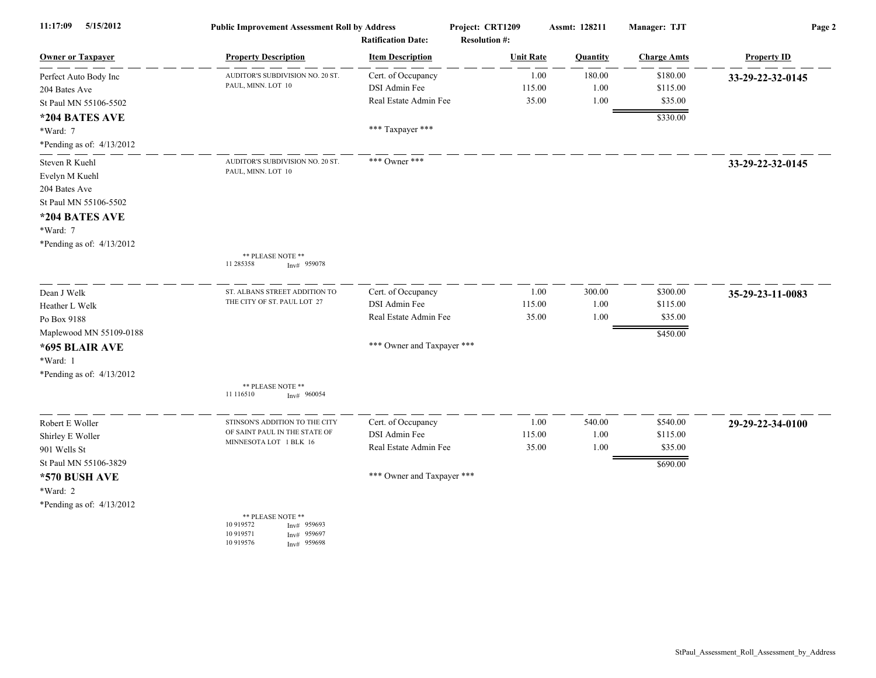| 11:17:09<br>5/15/2012       | <b>Public Improvement Assessment Roll by Address</b><br><b>Ratification Date:</b>                        |                            | Project: CRT1209<br><b>Resolution #:</b> | Assmt: 128211 | Manager: TJT       | Page 2             |
|-----------------------------|----------------------------------------------------------------------------------------------------------|----------------------------|------------------------------------------|---------------|--------------------|--------------------|
| <b>Owner or Taxpayer</b>    | <b>Property Description</b>                                                                              | <b>Item Description</b>    | <b>Unit Rate</b>                         | Quantity      | <b>Charge Amts</b> | <b>Property ID</b> |
| Perfect Auto Body Inc       | AUDITOR'S SUBDIVISION NO. 20 ST.                                                                         | Cert. of Occupancy         | 1.00                                     | 180.00        | \$180.00           | 33-29-22-32-0145   |
| 204 Bates Ave               | PAUL, MINN. LOT 10                                                                                       | DSI Admin Fee              | 115.00                                   | 1.00          | \$115.00           |                    |
| St Paul MN 55106-5502       |                                                                                                          | Real Estate Admin Fee      | 35.00                                    | 1.00          | \$35.00            |                    |
| *204 BATES AVE              |                                                                                                          |                            |                                          |               | \$330.00           |                    |
| *Ward: 7                    |                                                                                                          | *** Taxpayer ***           |                                          |               |                    |                    |
| *Pending as of: 4/13/2012   |                                                                                                          |                            |                                          |               |                    |                    |
| Steven R Kuehl              | AUDITOR'S SUBDIVISION NO. 20 ST.                                                                         | *** Owner ***              |                                          |               |                    | 33-29-22-32-0145   |
| Evelyn M Kuehl              | PAUL, MINN. LOT 10                                                                                       |                            |                                          |               |                    |                    |
| 204 Bates Ave               |                                                                                                          |                            |                                          |               |                    |                    |
| St Paul MN 55106-5502       |                                                                                                          |                            |                                          |               |                    |                    |
| *204 BATES AVE              |                                                                                                          |                            |                                          |               |                    |                    |
| *Ward: 7                    |                                                                                                          |                            |                                          |               |                    |                    |
| *Pending as of: $4/13/2012$ |                                                                                                          |                            |                                          |               |                    |                    |
|                             | ** PLEASE NOTE **<br>11 285358<br>$Inv#$ 959078                                                          |                            |                                          |               |                    |                    |
| Dean J Welk                 | ST. ALBANS STREET ADDITION TO                                                                            | Cert. of Occupancy         | 1.00                                     | 300.00        | \$300.00           | 35-29-23-11-0083   |
| Heather L Welk              | THE CITY OF ST. PAUL LOT 27                                                                              | DSI Admin Fee              | 115.00                                   | 1.00          | \$115.00           |                    |
| Po Box 9188                 |                                                                                                          | Real Estate Admin Fee      | 35.00                                    | 1.00          | \$35.00            |                    |
| Maplewood MN 55109-0188     |                                                                                                          |                            |                                          |               | \$450.00           |                    |
| *695 BLAIR AVE              |                                                                                                          | *** Owner and Taxpayer *** |                                          |               |                    |                    |
| *Ward: 1                    |                                                                                                          |                            |                                          |               |                    |                    |
| *Pending as of: 4/13/2012   |                                                                                                          |                            |                                          |               |                    |                    |
|                             | ** PLEASE NOTE **<br>11 116510<br>Inv# 960054                                                            |                            |                                          |               |                    |                    |
| Robert E Woller             | STINSON'S ADDITION TO THE CITY                                                                           | Cert. of Occupancy         | 1.00                                     | 540.00        | \$540.00           | 29-29-22-34-0100   |
| Shirley E Woller            | OF SAINT PAUL IN THE STATE OF                                                                            | DSI Admin Fee              | 115.00                                   | 1.00          | \$115.00           |                    |
| 901 Wells St                | MINNESOTA LOT 1 BLK 16                                                                                   | Real Estate Admin Fee      | 35.00                                    | 1.00          | \$35.00            |                    |
| St Paul MN 55106-3829       |                                                                                                          |                            |                                          |               | \$690.00           |                    |
| *570 BUSH AVE               |                                                                                                          | *** Owner and Taxpayer *** |                                          |               |                    |                    |
| *Ward: 2                    |                                                                                                          |                            |                                          |               |                    |                    |
| *Pending as of: $4/13/2012$ |                                                                                                          |                            |                                          |               |                    |                    |
|                             | ** PLEASE NOTE **<br>10 919572<br>959693<br>Inv#<br>10 919571<br>Inv# 959697<br>10 919576<br>Inv# 959698 |                            |                                          |               |                    |                    |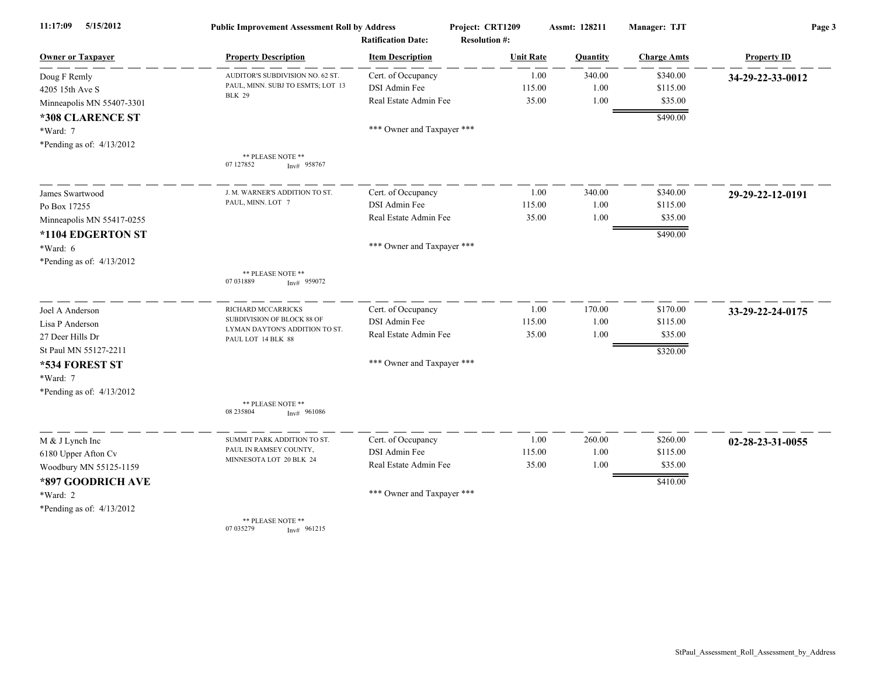| 5/15/2012<br>11:17:09     | <b>Public Improvement Assessment Roll by Address</b> |                                                      | Project: CRT1209                         | Assmt: 128211 | Manager: TJT       | Page 3             |
|---------------------------|------------------------------------------------------|------------------------------------------------------|------------------------------------------|---------------|--------------------|--------------------|
| <b>Owner or Taxpayer</b>  | <b>Property Description</b>                          | <b>Ratification Date:</b><br><b>Item Description</b> | <b>Resolution #:</b><br><b>Unit Rate</b> | Quantity      | <b>Charge Amts</b> | <b>Property ID</b> |
| Doug F Remly              | AUDITOR'S SUBDIVISION NO. 62 ST.                     | Cert. of Occupancy                                   | 1.00                                     | 340.00        | \$340.00           | 34-29-22-33-0012   |
| 4205 15th Ave S           | PAUL, MINN. SUBJ TO ESMTS; LOT 13                    | DSI Admin Fee                                        | 115.00                                   | 1.00          | \$115.00           |                    |
| Minneapolis MN 55407-3301 | <b>BLK 29</b>                                        | Real Estate Admin Fee                                | 35.00                                    | 1.00          | \$35.00            |                    |
| *308 CLARENCE ST          |                                                      |                                                      |                                          |               | \$490.00           |                    |
| *Ward: 7                  |                                                      | *** Owner and Taxpayer ***                           |                                          |               |                    |                    |
| *Pending as of: 4/13/2012 |                                                      |                                                      |                                          |               |                    |                    |
|                           | ** PLEASE NOTE **<br>07 127852<br>$Inv#$ 958767      |                                                      |                                          |               |                    |                    |
| James Swartwood           | J. M. WARNER'S ADDITION TO ST.                       | Cert. of Occupancy                                   | 1.00                                     | 340.00        | \$340.00           | 29-29-22-12-0191   |
| Po Box 17255              | PAUL, MINN. LOT 7                                    | DSI Admin Fee                                        | 115.00                                   | 1.00          | \$115.00           |                    |
| Minneapolis MN 55417-0255 |                                                      | Real Estate Admin Fee                                | 35.00                                    | 1.00          | \$35.00            |                    |
| *1104 EDGERTON ST         |                                                      |                                                      |                                          |               | \$490.00           |                    |
| *Ward: 6                  |                                                      | *** Owner and Taxpayer ***                           |                                          |               |                    |                    |
| *Pending as of: 4/13/2012 |                                                      |                                                      |                                          |               |                    |                    |
|                           | ** PLEASE NOTE **<br>07 03 1889<br>$Inv#$ 959072     |                                                      |                                          |               |                    |                    |
| Joel A Anderson           | RICHARD MCCARRICKS                                   | Cert. of Occupancy                                   | 1.00                                     | 170.00        | \$170.00           | 33-29-22-24-0175   |
| Lisa P Anderson           | SUBDIVISION OF BLOCK 88 OF                           | DSI Admin Fee                                        | 115.00                                   | 1.00          | \$115.00           |                    |
| 27 Deer Hills Dr          | LYMAN DAYTON'S ADDITION TO ST.<br>PAUL LOT 14 BLK 88 | Real Estate Admin Fee                                | 35.00                                    | 1.00          | \$35.00            |                    |
| St Paul MN 55127-2211     |                                                      |                                                      |                                          |               | \$320.00           |                    |
| *534 FOREST ST            |                                                      | *** Owner and Taxpayer ***                           |                                          |               |                    |                    |
| *Ward: 7                  |                                                      |                                                      |                                          |               |                    |                    |
| *Pending as of: 4/13/2012 |                                                      |                                                      |                                          |               |                    |                    |
|                           | ** PLEASE NOTE **<br>08 235 804<br>Inv# 961086       |                                                      |                                          |               |                    |                    |
| M & J Lynch Inc           | SUMMIT PARK ADDITION TO ST.                          | Cert. of Occupancy                                   | 1.00                                     | 260.00        | \$260.00           | 02-28-23-31-0055   |
| 6180 Upper Afton Cv       | PAUL IN RAMSEY COUNTY,                               | DSI Admin Fee                                        | 115.00                                   | 1.00          | \$115.00           |                    |
| Woodbury MN 55125-1159    | MINNESOTA LOT 20 BLK 24                              | Real Estate Admin Fee                                | 35.00                                    | 1.00          | \$35.00            |                    |
| *897 GOODRICH AVE         |                                                      |                                                      |                                          |               | \$410.00           |                    |
| *Ward: 2                  |                                                      | *** Owner and Taxpayer ***                           |                                          |               |                    |                    |
| *Pending as of: 4/13/2012 |                                                      |                                                      |                                          |               |                    |                    |
|                           | ** PLEASE NOTE **<br>07 035279<br>Inv# 961215        |                                                      |                                          |               |                    |                    |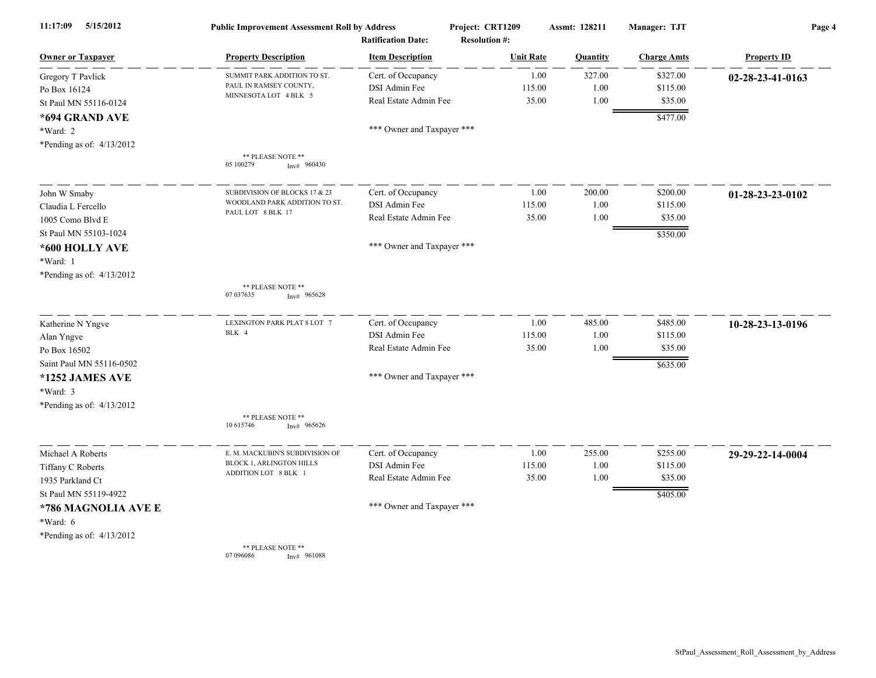| 5/15/2012<br>11:17:09       | <b>Public Improvement Assessment Roll by Address</b> | <b>Ratification Date:</b>  | Project: CRT1209<br><b>Resolution #:</b> | Assmt: 128211 | Manager: TJT       | Page 4             |
|-----------------------------|------------------------------------------------------|----------------------------|------------------------------------------|---------------|--------------------|--------------------|
| <b>Owner or Taxpayer</b>    | <b>Property Description</b>                          | <b>Item Description</b>    | <b>Unit Rate</b>                         | Quantity      | <b>Charge Amts</b> | <b>Property ID</b> |
| Gregory T Pavlick           | SUMMIT PARK ADDITION TO ST.                          | Cert. of Occupancy         | 1.00                                     | 327.00        | \$327.00           | 02-28-23-41-0163   |
| Po Box 16124                | PAUL IN RAMSEY COUNTY,                               | DSI Admin Fee              | 115.00                                   | 1.00          | \$115.00           |                    |
| St Paul MN 55116-0124       | MINNESOTA LOT 4 BLK 5                                | Real Estate Admin Fee      | 35.00                                    | 1.00          | \$35.00            |                    |
| *694 GRAND AVE              |                                                      |                            |                                          |               | \$477.00           |                    |
| *Ward: 2                    |                                                      | *** Owner and Taxpayer *** |                                          |               |                    |                    |
| *Pending as of: 4/13/2012   |                                                      |                            |                                          |               |                    |                    |
|                             | ** PLEASE NOTE **                                    |                            |                                          |               |                    |                    |
|                             | 05 100279<br>Inv# 960430                             |                            |                                          |               |                    |                    |
| John W Smaby                | SUBDIVISION OF BLOCKS 17 & 23                        | Cert. of Occupancy         | 1.00                                     | 200.00        | \$200.00           | $01-28-23-23-0102$ |
| Claudia L Fercello          | WOODLAND PARK ADDITION TO ST.<br>PAUL LOT 8 BLK 17   | DSI Admin Fee              | 115.00                                   | 1.00          | \$115.00           |                    |
| 1005 Como Blvd E            |                                                      | Real Estate Admin Fee      | 35.00                                    | 1.00          | \$35.00            |                    |
| St Paul MN 55103-1024       |                                                      |                            |                                          |               | \$350.00           |                    |
| *600 HOLLY AVE              |                                                      | *** Owner and Taxpayer *** |                                          |               |                    |                    |
| *Ward: 1                    |                                                      |                            |                                          |               |                    |                    |
| *Pending as of: 4/13/2012   |                                                      |                            |                                          |               |                    |                    |
|                             | ** PLEASE NOTE **<br>07 037635<br>Inv# 965628        |                            |                                          |               |                    |                    |
| Katherine N Yngve           | LEXINGTON PARK PLAT 8 LOT 7                          | Cert. of Occupancy         | 1.00                                     | 485.00        | \$485.00           | 10-28-23-13-0196   |
| Alan Yngve                  | BLK 4                                                | DSI Admin Fee              | 115.00                                   | 1.00          | \$115.00           |                    |
| Po Box 16502                |                                                      | Real Estate Admin Fee      | 35.00                                    | 1.00          | \$35.00            |                    |
| Saint Paul MN 55116-0502    |                                                      |                            |                                          |               | \$635.00           |                    |
| *1252 JAMES AVE             |                                                      | *** Owner and Taxpayer *** |                                          |               |                    |                    |
| $*Ward: 3$                  |                                                      |                            |                                          |               |                    |                    |
| *Pending as of: 4/13/2012   |                                                      |                            |                                          |               |                    |                    |
|                             | ** PLEASE NOTE **                                    |                            |                                          |               |                    |                    |
|                             | 10 615746<br>965626<br>Inv#                          |                            |                                          |               |                    |                    |
| Michael A Roberts           | E. M. MACKUBIN'S SUBDIVISION OF                      | Cert. of Occupancy         | 1.00                                     | 255.00        | \$255.00           | 29-29-22-14-0004   |
| Tiffany C Roberts           | BLOCK 1, ARLINGTON HILLS                             | DSI Admin Fee              | 115.00                                   | 1.00          | \$115.00           |                    |
| 1935 Parkland Ct            | ADDITION LOT 8 BLK 1                                 | Real Estate Admin Fee      | 35.00                                    | 1.00          | \$35.00            |                    |
| St Paul MN 55119-4922       |                                                      |                            |                                          |               | \$405.00           |                    |
| *786 MAGNOLIA AVE E         |                                                      | *** Owner and Taxpayer *** |                                          |               |                    |                    |
| *Ward: 6                    |                                                      |                            |                                          |               |                    |                    |
| *Pending as of: $4/13/2012$ |                                                      |                            |                                          |               |                    |                    |
|                             | ** PLEASE NOTE **                                    |                            |                                          |               |                    |                    |

07 096086 **Inv#** 961088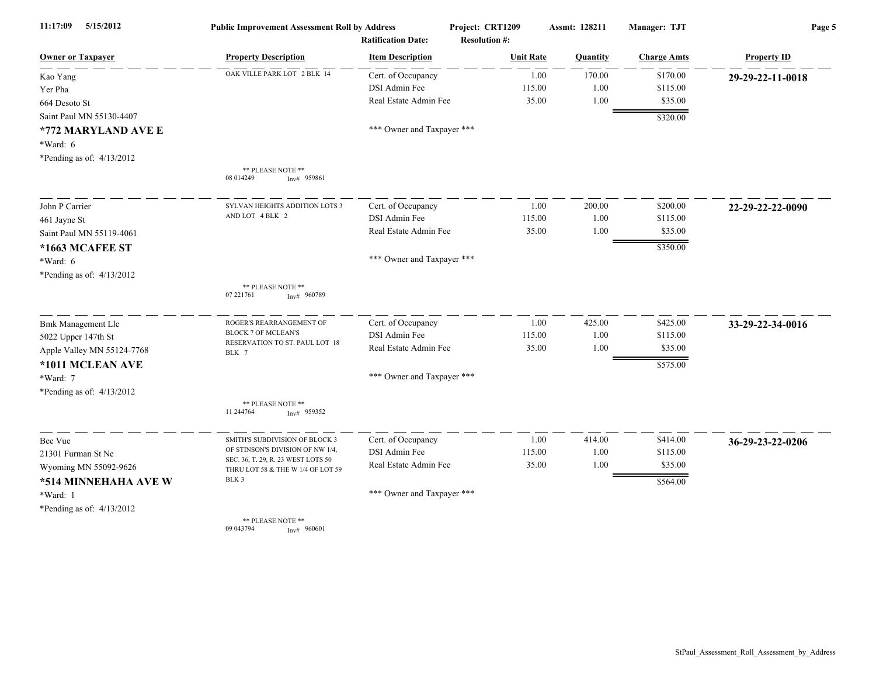| 5/15/2012<br>11:17:09       | <b>Public Improvement Assessment Roll by Address</b><br><b>Ratification Date:</b> |                            | Project: CRT1209<br><b>Resolution #:</b> | Assmt: 128211 | Manager: TJT       | Page 5             |
|-----------------------------|-----------------------------------------------------------------------------------|----------------------------|------------------------------------------|---------------|--------------------|--------------------|
| <b>Owner or Taxpayer</b>    | <b>Property Description</b>                                                       | <b>Item Description</b>    | <b>Unit Rate</b>                         | Quantity      | <b>Charge Amts</b> | <b>Property ID</b> |
| Kao Yang                    | OAK VILLE PARK LOT 2 BLK 14                                                       | Cert. of Occupancy         | 1.00                                     | 170.00        | \$170.00           | 29-29-22-11-0018   |
| Yer Pha                     |                                                                                   | DSI Admin Fee              | 115.00                                   | 1.00          | \$115.00           |                    |
| 664 Desoto St               |                                                                                   | Real Estate Admin Fee      | 35.00                                    | 1.00          | \$35.00            |                    |
| Saint Paul MN 55130-4407    |                                                                                   |                            |                                          |               | \$320.00           |                    |
| *772 MARYLAND AVE E         |                                                                                   | *** Owner and Taxpayer *** |                                          |               |                    |                    |
| $*Ward: 6$                  |                                                                                   |                            |                                          |               |                    |                    |
| *Pending as of: $4/13/2012$ |                                                                                   |                            |                                          |               |                    |                    |
|                             | ** PLEASE NOTE **<br>08 014249<br>$Inv#$ 959861                                   |                            |                                          |               |                    |                    |
| John P Carrier              | SYLVAN HEIGHTS ADDITION LOTS 3                                                    | Cert. of Occupancy         | 1.00                                     | 200.00        | \$200.00           | 22-29-22-22-0090   |
| 461 Jayne St                | AND LOT 4 BLK 2                                                                   | DSI Admin Fee              | 115.00                                   | 1.00          | \$115.00           |                    |
| Saint Paul MN 55119-4061    |                                                                                   | Real Estate Admin Fee      | 35.00                                    | 1.00          | \$35.00            |                    |
| *1663 MCAFEE ST             |                                                                                   |                            |                                          |               | \$350.00           |                    |
| *Ward: 6                    |                                                                                   | *** Owner and Taxpayer *** |                                          |               |                    |                    |
| *Pending as of: 4/13/2012   |                                                                                   |                            |                                          |               |                    |                    |
|                             | ** PLEASE NOTE **<br>07 221761<br>Inv# 960789                                     |                            |                                          |               |                    |                    |
| <b>Bmk Management Llc</b>   | ROGER'S REARRANGEMENT OF                                                          | Cert. of Occupancy         | 1.00                                     | 425.00        | \$425.00           | 33-29-22-34-0016   |
| 5022 Upper 147th St         | <b>BLOCK 7 OF MCLEAN'S</b><br>RESERVATION TO ST. PAUL LOT 18                      | DSI Admin Fee              | 115.00                                   | 1.00          | \$115.00           |                    |
| Apple Valley MN 55124-7768  | BLK 7                                                                             | Real Estate Admin Fee      | 35.00                                    | 1.00          | \$35.00            |                    |
| *1011 MCLEAN AVE            |                                                                                   |                            |                                          |               | \$575.00           |                    |
| *Ward: 7                    |                                                                                   | *** Owner and Taxpayer *** |                                          |               |                    |                    |
| *Pending as of: 4/13/2012   |                                                                                   |                            |                                          |               |                    |                    |
|                             | ** PLEASE NOTE **<br>11 244764<br>$Inv#$ 959352                                   |                            |                                          |               |                    |                    |
| Bee Vue                     | SMITH'S SUBDIVISION OF BLOCK 3                                                    | Cert. of Occupancy         | 1.00                                     | 414.00        | \$414.00           | 36-29-23-22-0206   |
| 21301 Furman St Ne          | OF STINSON'S DIVISION OF NW 1/4.                                                  | DSI Admin Fee              | 115.00                                   | 1.00          | \$115.00           |                    |
| Wyoming MN 55092-9626       | SEC. 36, T. 29, R. 23 WEST LOTS 50<br>THRU LOT 58 & THE W 1/4 OF LOT 59           | Real Estate Admin Fee      | 35.00                                    | 1.00          | \$35.00            |                    |
| *514 MINNEHAHA AVE W        | BLK 3                                                                             |                            |                                          |               | \$564.00           |                    |
| *Ward: 1                    |                                                                                   | *** Owner and Taxpayer *** |                                          |               |                    |                    |
| *Pending as of: 4/13/2012   |                                                                                   |                            |                                          |               |                    |                    |
|                             | ** PLEASE NOTE **<br>09 043794<br>Inv# 960601                                     |                            |                                          |               |                    |                    |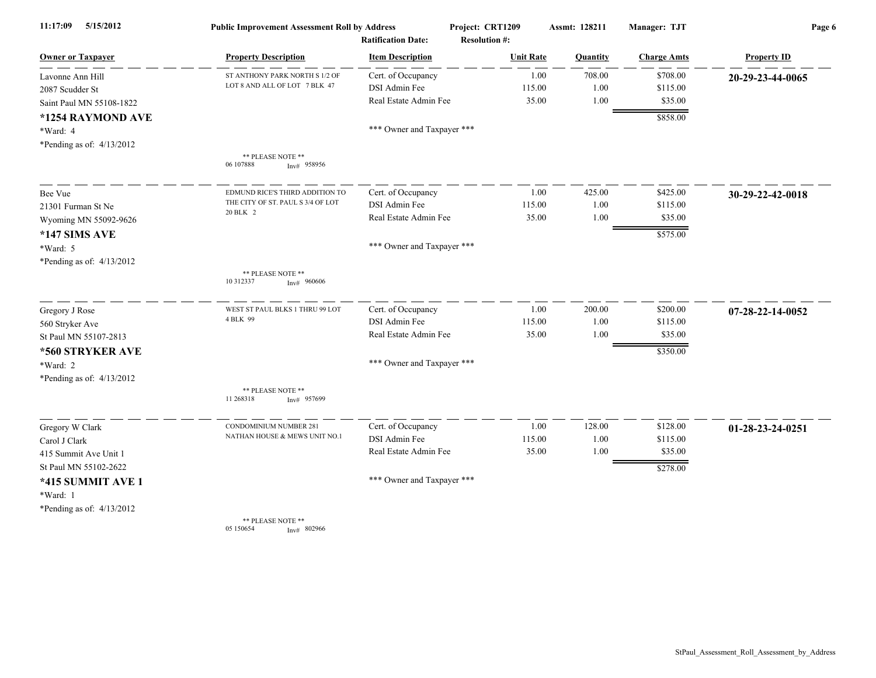| 5/15/2012<br>11:17:09     | <b>Public Improvement Assessment Roll by Address</b><br><b>Ratification Date:</b> |                            | Project: CRT1209<br><b>Resolution #:</b> | Assmt: 128211 | Manager: TJT       | Page 6             |  |
|---------------------------|-----------------------------------------------------------------------------------|----------------------------|------------------------------------------|---------------|--------------------|--------------------|--|
| <b>Owner or Taxpayer</b>  | <b>Property Description</b>                                                       | <b>Item Description</b>    | <b>Unit Rate</b>                         | Quantity      | <b>Charge Amts</b> | <b>Property ID</b> |  |
| Lavonne Ann Hill          | ST ANTHONY PARK NORTH S 1/2 OF                                                    | Cert. of Occupancy         | 1.00                                     | 708.00        | \$708.00           | 20-29-23-44-0065   |  |
| 2087 Scudder St           | LOT 8 AND ALL OF LOT 7 BLK 47                                                     | <b>DSI Admin Fee</b>       | 115.00                                   | 1.00          | \$115.00           |                    |  |
| Saint Paul MN 55108-1822  |                                                                                   | Real Estate Admin Fee      | 35.00                                    | 1.00          | \$35.00            |                    |  |
| *1254 RAYMOND AVE         |                                                                                   |                            |                                          |               | \$858.00           |                    |  |
| *Ward: 4                  |                                                                                   | *** Owner and Taxpayer *** |                                          |               |                    |                    |  |
| *Pending as of: 4/13/2012 |                                                                                   |                            |                                          |               |                    |                    |  |
|                           | ** PLEASE NOTE **<br>06 107888<br>$Inv#$ 958956                                   |                            |                                          |               |                    |                    |  |
| Bee Vue                   | EDMUND RICE'S THIRD ADDITION TO                                                   | Cert. of Occupancy         | 1.00                                     | 425.00        | \$425.00           | 30-29-22-42-0018   |  |
| 21301 Furman St Ne        | THE CITY OF ST. PAUL S 3/4 OF LOT<br>20 BLK 2                                     | DSI Admin Fee              | 115.00                                   | 1.00          | \$115.00           |                    |  |
| Wyoming MN 55092-9626     |                                                                                   | Real Estate Admin Fee      | 35.00                                    | 1.00          | \$35.00            |                    |  |
| *147 SIMS AVE             |                                                                                   |                            |                                          |               | \$575.00           |                    |  |
| $*Ward: 5$                |                                                                                   | *** Owner and Taxpayer *** |                                          |               |                    |                    |  |
| *Pending as of: 4/13/2012 |                                                                                   |                            |                                          |               |                    |                    |  |
|                           | ** PLEASE NOTE **<br>10 312337<br>Inv# 960606                                     |                            |                                          |               |                    |                    |  |
| Gregory J Rose            | WEST ST PAUL BLKS 1 THRU 99 LOT                                                   | Cert. of Occupancy         | 1.00                                     | 200.00        | \$200.00           | 07-28-22-14-0052   |  |
| 560 Stryker Ave           | 4 BLK 99                                                                          | DSI Admin Fee              | 115.00                                   | 1.00          | \$115.00           |                    |  |
| St Paul MN 55107-2813     |                                                                                   | Real Estate Admin Fee      | 35.00                                    | 1.00          | \$35.00            |                    |  |
| *560 STRYKER AVE          |                                                                                   |                            |                                          |               | \$350.00           |                    |  |
| *Ward: 2                  |                                                                                   | *** Owner and Taxpayer *** |                                          |               |                    |                    |  |
| *Pending as of: 4/13/2012 |                                                                                   |                            |                                          |               |                    |                    |  |
|                           | ** PLEASE NOTE **<br>11 268318<br>$Inv#$ 957699                                   |                            |                                          |               |                    |                    |  |
| Gregory W Clark           | CONDOMINIUM NUMBER 281                                                            | Cert. of Occupancy         | 1.00                                     | 128.00        | \$128.00           | 01-28-23-24-0251   |  |
| Carol J Clark             | NATHAN HOUSE & MEWS UNIT NO.1                                                     | DSI Admin Fee              | 115.00                                   | 1.00          | \$115.00           |                    |  |
| 415 Summit Ave Unit 1     |                                                                                   | Real Estate Admin Fee      | 35.00                                    | 1.00          | \$35.00            |                    |  |
| St Paul MN 55102-2622     |                                                                                   |                            |                                          |               | \$278.00           |                    |  |
| *415 SUMMIT AVE 1         |                                                                                   | *** Owner and Taxpayer *** |                                          |               |                    |                    |  |
| *Ward: 1                  |                                                                                   |                            |                                          |               |                    |                    |  |
| *Pending as of: 4/13/2012 |                                                                                   |                            |                                          |               |                    |                    |  |
|                           | ** PLEASE NOTE **<br>05 150654<br>Inv# 802966                                     |                            |                                          |               |                    |                    |  |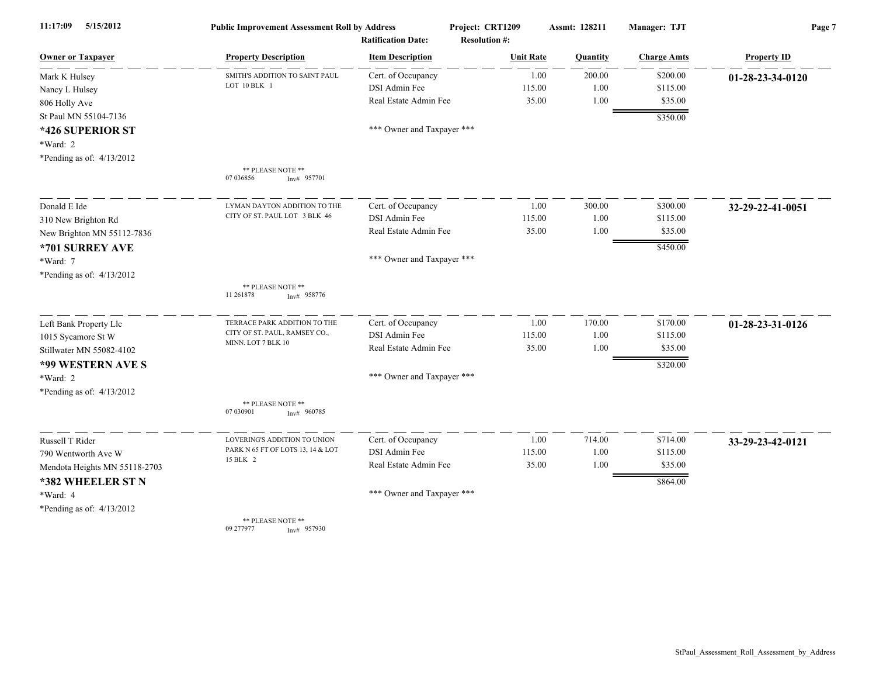| 5/15/2012<br>11:17:09         | <b>Public Improvement Assessment Roll by Address</b><br><b>Ratification Date:</b> |                            | Project: CRT1209<br><b>Resolution #:</b> | Assmt: 128211 | Manager: TJT       | Page 7             |
|-------------------------------|-----------------------------------------------------------------------------------|----------------------------|------------------------------------------|---------------|--------------------|--------------------|
| <b>Owner or Taxpayer</b>      | <b>Property Description</b>                                                       | <b>Item Description</b>    | <b>Unit Rate</b>                         | Quantity      | <b>Charge Amts</b> | <b>Property ID</b> |
| Mark K Hulsey                 | SMITH'S ADDITION TO SAINT PAUL                                                    | Cert. of Occupancy         | 1.00                                     | 200.00        | \$200.00           | 01-28-23-34-0120   |
| Nancy L Hulsey                | LOT 10 BLK 1                                                                      | DSI Admin Fee              | 115.00                                   | 1.00          | \$115.00           |                    |
| 806 Holly Ave                 |                                                                                   | Real Estate Admin Fee      | 35.00                                    | 1.00          | \$35.00            |                    |
| St Paul MN 55104-7136         |                                                                                   |                            |                                          |               | \$350.00           |                    |
| *426 SUPERIOR ST              |                                                                                   | *** Owner and Taxpayer *** |                                          |               |                    |                    |
| *Ward: 2                      |                                                                                   |                            |                                          |               |                    |                    |
| *Pending as of: 4/13/2012     |                                                                                   |                            |                                          |               |                    |                    |
|                               | ** PLEASE NOTE **<br>07 03 6856<br>$Inv#$ 957701                                  |                            |                                          |               |                    |                    |
| Donald E Ide                  | LYMAN DAYTON ADDITION TO THE                                                      | Cert. of Occupancy         | 1.00                                     | 300.00        | \$300.00           | 32-29-22-41-0051   |
| 310 New Brighton Rd           | CITY OF ST. PAUL LOT 3 BLK 46                                                     | DSI Admin Fee              | 115.00                                   | 1.00          | \$115.00           |                    |
| New Brighton MN 55112-7836    |                                                                                   | Real Estate Admin Fee      | 35.00                                    | 1.00          | \$35.00            |                    |
| *701 SURREY AVE               |                                                                                   |                            |                                          |               | \$450.00           |                    |
| *Ward: 7                      |                                                                                   | *** Owner and Taxpayer *** |                                          |               |                    |                    |
| *Pending as of: $4/13/2012$   |                                                                                   |                            |                                          |               |                    |                    |
|                               | ** PLEASE NOTE **<br>11 261878<br>$Inv#$ 958776                                   |                            |                                          |               |                    |                    |
| Left Bank Property Llc        | TERRACE PARK ADDITION TO THE                                                      | Cert. of Occupancy         | 1.00                                     | 170.00        | \$170.00           | 01-28-23-31-0126   |
| 1015 Sycamore St W            | CITY OF ST. PAUL, RAMSEY CO.,<br>MINN. LOT 7 BLK 10                               | DSI Admin Fee              | 115.00                                   | 1.00          | \$115.00           |                    |
| Stillwater MN 55082-4102      |                                                                                   | Real Estate Admin Fee      | 35.00                                    | 1.00          | \$35.00            |                    |
| *99 WESTERN AVE S             |                                                                                   |                            |                                          |               | \$320.00           |                    |
| *Ward: 2                      |                                                                                   | *** Owner and Taxpayer *** |                                          |               |                    |                    |
| *Pending as of: $4/13/2012$   |                                                                                   |                            |                                          |               |                    |                    |
|                               | ** PLEASE NOTE **<br>07 030901<br>Inv# 960785                                     |                            |                                          |               |                    |                    |
| Russell T Rider               | LOVERING'S ADDITION TO UNION                                                      | Cert. of Occupancy         | 1.00                                     | 714.00        | \$714.00           | 33-29-23-42-0121   |
| 790 Wentworth Ave W           | PARK N 65 FT OF LOTS 13, 14 & LOT                                                 | DSI Admin Fee              | 115.00                                   | 1.00          | \$115.00           |                    |
| Mendota Heights MN 55118-2703 | 15 BLK 2                                                                          | Real Estate Admin Fee      | 35.00                                    | 1.00          | \$35.00            |                    |
| *382 WHEELER ST N             |                                                                                   |                            |                                          |               | \$864.00           |                    |
| *Ward: 4                      |                                                                                   | *** Owner and Taxpayer *** |                                          |               |                    |                    |
| *Pending as of: $4/13/2012$   |                                                                                   |                            |                                          |               |                    |                    |
|                               | ** PLEASE NOTE **<br>09 277977<br>$Inv#$ 957930                                   |                            |                                          |               |                    |                    |